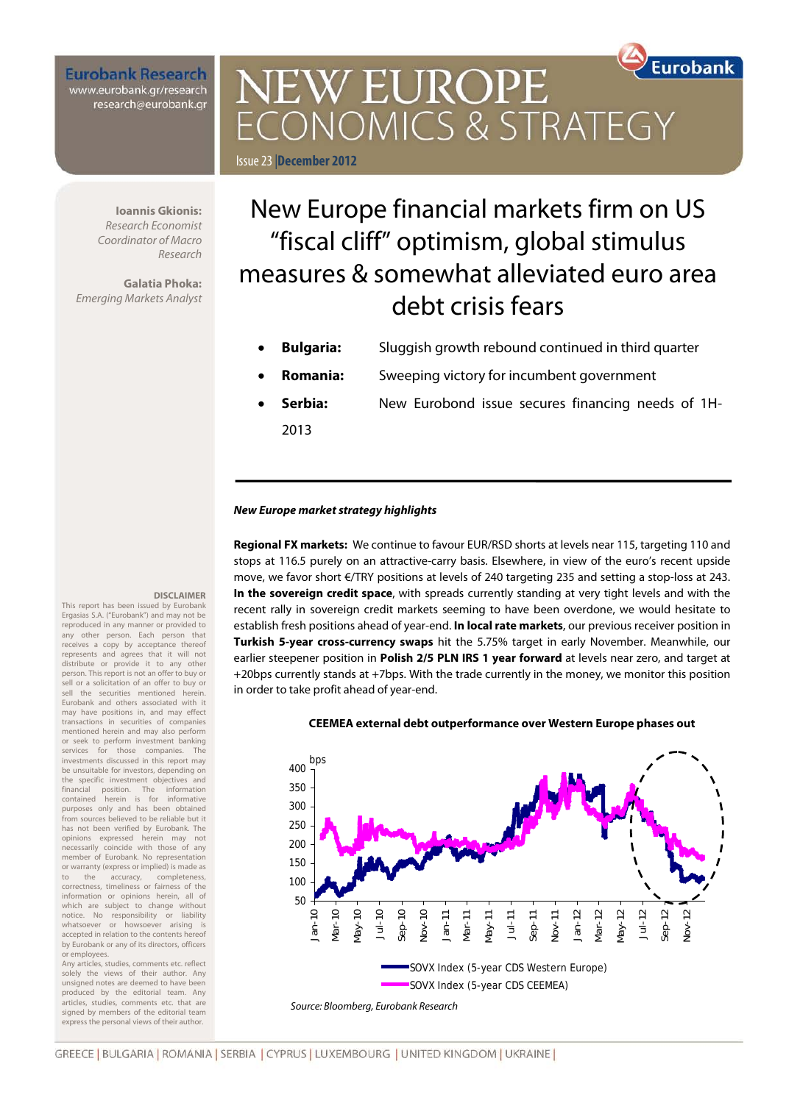**Eurobank Research** www.eurobank.gr/research<br>research@eurobank.gr

# **Furobank NEW EUROPE** CONOMICS & STRATEGY Issue 23|**December 2012**

**Ioannis Gkionis:**  *Research Economist Coordinator of Macro Research*

**Galatia Phoka:**  *Emerging Markets Analyst*

**DISCLAIMER**

This report has been issued by Eurobank Ergasias S.A. ("Eurobank") and may not be reproduced in any manner or provided to any other person. Each person that receives a copy by acceptance thereof represents and agrees that it will not distribute or provide it to any other person. This report is not an offer to buy or sell or a solicitation of an offer to buy or sell the securities mentioned herein. Eurobank and others associated with it may have positions in, and may effect transactions in securities of companies mentioned herein and may also perform or seek to perform investment banking services for those companies. The investments discussed in this report may be unsuitable for investors, depending on the specific investment objectives and financial position. The information contained herein is for informative purposes only and has been obtained from sources believed to be reliable but it has not been verified by Eurobank. The opinions expressed herein may not necessarily coincide with those of any member of Eurobank. No representation or warranty (express or implied) is made as to the accuracy, completeness, correctness, timeliness or fairness of the information or opinions herein, all of which are subject to change without notice. No responsibility or liability whatsoever or howsoever arising is accepted in relation to the contents hereof by Eurobank or any of its directors, officers or employees. Any articles, studies, comments etc. reflect solely the views of their author. Any unsigned notes are deemed to have been produced by the editorial team. Any articles, studies, comments etc. that are signed by members of the editorial team express the personal views of their author.

# New Europe financial markets firm on US "fiscal cliff" optimism, global stimulus measures & somewhat alleviated euro area debt crisis fears

- **Bulgaria:** Sluggish growth rebound continued in third quarter
- **Romania:** Sweeping victory for incumbent government
- **Serbia:** New Eurobond issue secures financing needs of 1H-2013

#### *New Europe market strategy highlights*

**Regional FX markets:** We continue to favour EUR/RSD shorts at levels near 115, targeting 110 and stops at 116.5 purely on an attractive-carry basis. Elsewhere, in view of the euro's recent upside move, we favor short €/TRY positions at levels of 240 targeting 235 and setting a stop-loss at 243. **In the sovereign credit space**, with spreads currently standing at very tight levels and with the recent rally in sovereign credit markets seeming to have been overdone, we would hesitate to establish fresh positions ahead of year-end. **In local rate markets**, our previous receiver position in **Turkish 5-year cross-currency swaps** hit the 5.75% target in early November. Meanwhile, our earlier steepener position in **Polish 2/5 PLN IRS 1 year forward** at levels near zero, and target at +20bps currently stands at +7bps. With the trade currently in the money, we monitor this position in order to take profit ahead of year-end.



#### **CEEMEA external debt outperformance over Western Europe phases out**

GREECE | BULGARIA | ROMANIA | SERBIA | CYPRUS | LUXEMBOURG | UNITED KINGDOM | UKRAINE |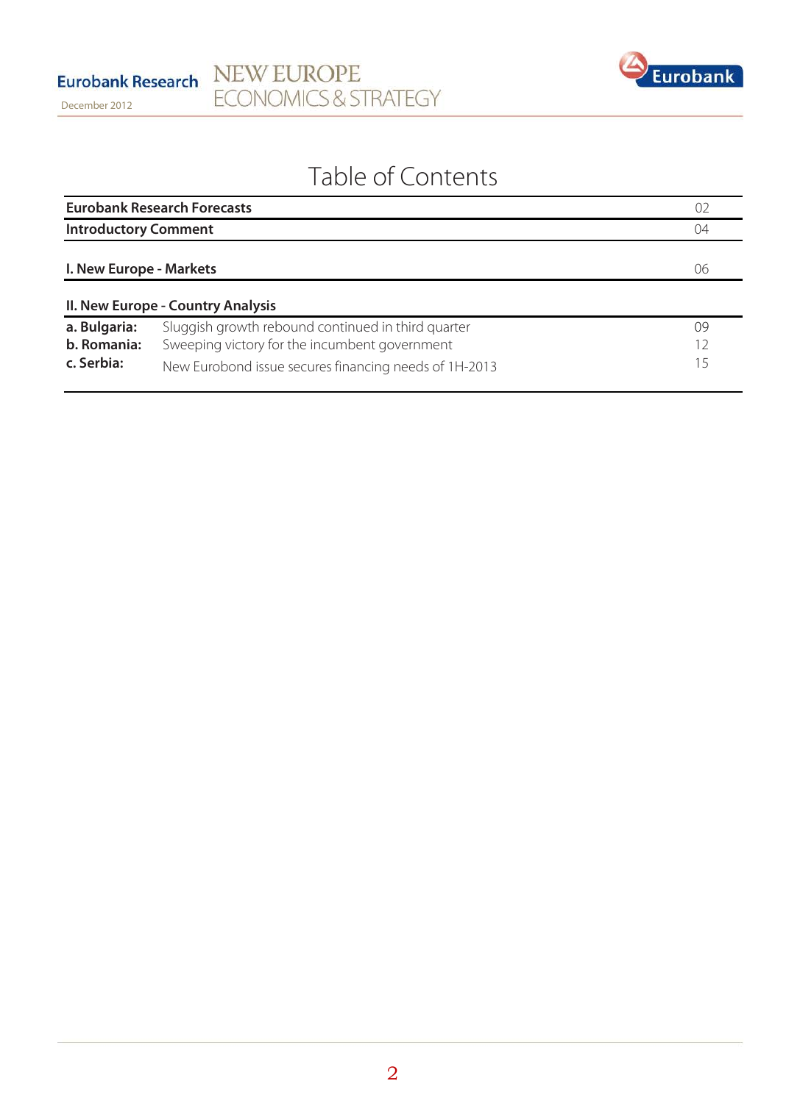

# Table of Contents

|                                           | <b>Eurobank Research Forecasts</b>                                                                                                                           |                |  |  |  |
|-------------------------------------------|--------------------------------------------------------------------------------------------------------------------------------------------------------------|----------------|--|--|--|
|                                           | <b>Introductory Comment</b>                                                                                                                                  |                |  |  |  |
| I. New Europe - Markets                   |                                                                                                                                                              | 06             |  |  |  |
|                                           | II. New Europe - Country Analysis                                                                                                                            |                |  |  |  |
| a. Bulgaria:<br>b. Romania:<br>c. Serbia: | Sluggish growth rebound continued in third quarter<br>Sweeping victory for the incumbent government<br>New Eurobond issue secures financing needs of 1H-2013 | 09<br>12<br>15 |  |  |  |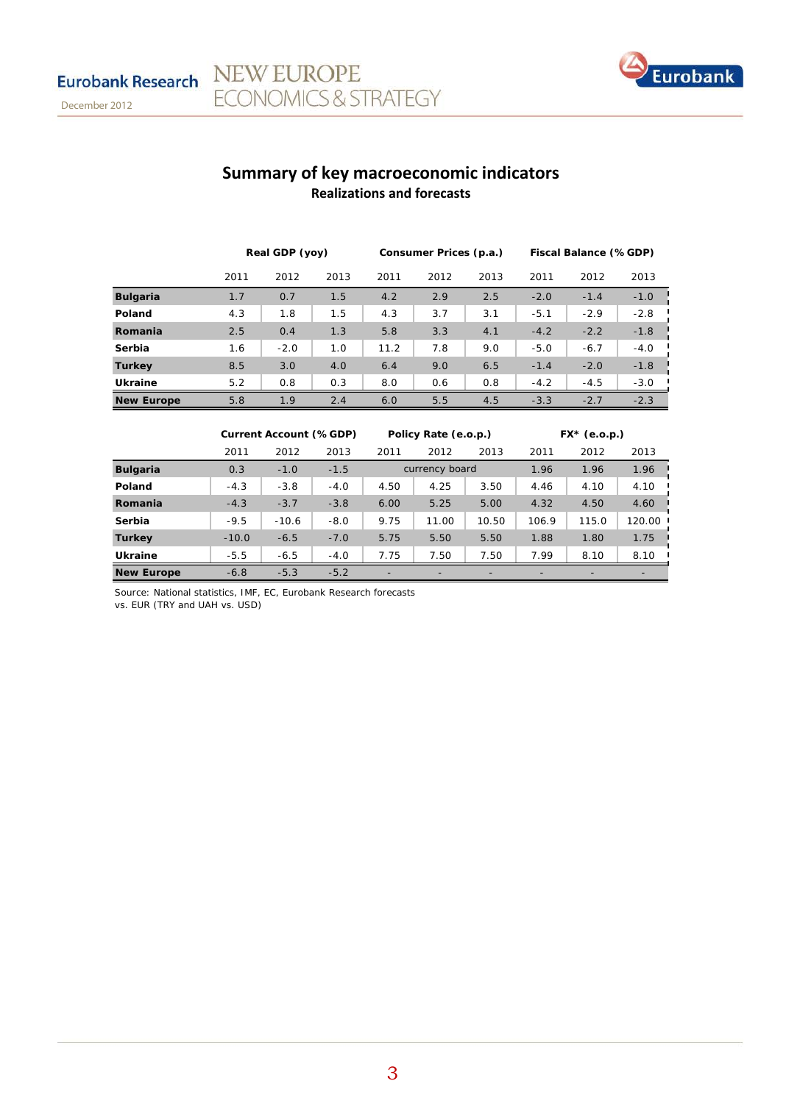

## **Summary of key macroeconomic indicators Realizations and forecasts**

|                   | Real GDP (yoy) |        | Consumer Prices (p.a.) |      |      | Fiscal Balance (%GDP) |        |        |        |
|-------------------|----------------|--------|------------------------|------|------|-----------------------|--------|--------|--------|
|                   | 2011           | 2012   | 2013                   | 2011 | 2012 | 2013                  | 2011   | 2012   | 2013   |
| <b>Bulgaria</b>   | 1.7            | 0.7    | 1.5                    | 4.2  | 2.9  | 2.5                   | $-2.0$ | $-1.4$ | $-1.0$ |
| Poland            | 4.3            | 1.8    | 1.5                    | 4.3  | 3.7  | 3.1                   | $-5.1$ | $-2.9$ | $-2.8$ |
| Romania           | 2.5            | 0.4    | 1.3                    | 5.8  | 3.3  | 4.1                   | $-4.2$ | $-2.2$ | $-1.8$ |
| Serbia            | 1.6            | $-2.0$ | 1.0                    | 11.2 | 7.8  | 9.0                   | $-5.0$ | $-6.7$ | $-4.0$ |
| <b>Turkey</b>     | 8.5            | 3.0    | 4.0                    | 6.4  | 9.0  | 6.5                   | $-1.4$ | $-2.0$ | $-1.8$ |
| Ukraine           | 5.2            | 0.8    | 0.3                    | 8.0  | 0.6  | 0.8                   | $-4.2$ | $-4.5$ | $-3.0$ |
| <b>New Europe</b> | 5.8            | 1.9    | 2.4                    | 6.0  | 5.5  | 4.5                   | $-3.3$ | $-2.7$ | $-2.3$ |

|                   | <b>Current Account (%GDP)</b> |         | Policy Rate (e.o.p.) |                |       | $FX*$ (e.o.p.) |       |       |        |
|-------------------|-------------------------------|---------|----------------------|----------------|-------|----------------|-------|-------|--------|
|                   | 2011                          | 2012    | 2013                 | 2011           | 2012  | 2013           | 2011  | 2012  | 2013   |
| <b>Bulgaria</b>   | 0.3                           | $-1.0$  | $-1.5$               | currency board |       |                | 1.96  | 1.96  | 1.96   |
| Poland            | $-4.3$                        | $-3.8$  | $-4.0$               | 4.50           | 4.25  | 3.50           | 4.46  | 4.10  | 4.10   |
| Romania           | $-4.3$                        | $-3.7$  | $-3.8$               | 6.00           | 5.25  | 5.00           | 4.32  | 4.50  | 4.60   |
| Serbia            | $-9.5$                        | $-10.6$ | $-8.0$               | 9.75           | 11.00 | 10.50          | 106.9 | 115.0 | 120.00 |
| <b>Turkey</b>     | $-10.0$                       | $-6.5$  | $-7.0$               | 5.75           | 5.50  | 5.50           | 1.88  | 1.80  | 1.75   |
| <b>Ukraine</b>    | $-5.5$                        | $-6.5$  | $-4.0$               | 7.75           | 7.50  | 7.50           | 7.99  | 8.10  | 8.10   |
| <b>New Europe</b> | $-6.8$                        | $-5.3$  | $-5.2$               | -              |       |                |       |       |        |

Source: National statistics, IMF, EC, Eurobank Research forecasts

NEW EUROPE

**ECONOMICS & STRATEGY** 

vs. EUR (TRY and UAH vs. USD)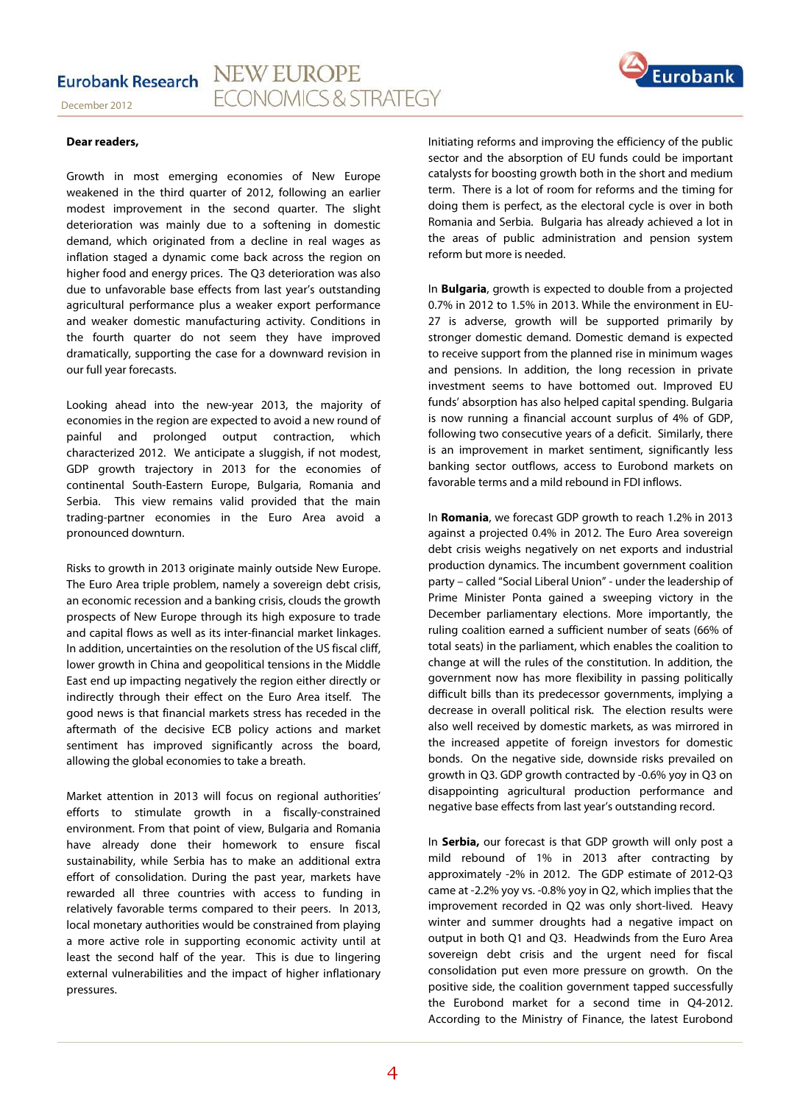





#### **Dear readers,**

Growth in most emerging economies of New Europe weakened in the third quarter of 2012, following an earlier modest improvement in the second quarter. The slight deterioration was mainly due to a softening in domestic demand, which originated from a decline in real wages as inflation staged a dynamic come back across the region on higher food and energy prices. The Q3 deterioration was also due to unfavorable base effects from last year's outstanding agricultural performance plus a weaker export performance and weaker domestic manufacturing activity. Conditions in the fourth quarter do not seem they have improved dramatically, supporting the case for a downward revision in our full year forecasts.

Looking ahead into the new-year 2013, the majority of economies in the region are expected to avoid a new round of painful and prolonged output contraction, which characterized 2012. We anticipate a sluggish, if not modest, GDP growth trajectory in 2013 for the economies of continental South-Eastern Europe, Bulgaria, Romania and Serbia. This view remains valid provided that the main trading-partner economies in the Euro Area avoid a pronounced downturn.

Risks to growth in 2013 originate mainly outside New Europe. The Euro Area triple problem, namely a sovereign debt crisis, an economic recession and a banking crisis, clouds the growth prospects of New Europe through its high exposure to trade and capital flows as well as its inter-financial market linkages. In addition, uncertainties on the resolution of the US fiscal cliff, lower growth in China and geopolitical tensions in the Middle East end up impacting negatively the region either directly or indirectly through their effect on the Euro Area itself. The good news is that financial markets stress has receded in the aftermath of the decisive ECB policy actions and market sentiment has improved significantly across the board, allowing the global economies to take a breath.

Market attention in 2013 will focus on regional authorities' efforts to stimulate growth in a fiscally-constrained environment. From that point of view, Bulgaria and Romania have already done their homework to ensure fiscal sustainability, while Serbia has to make an additional extra effort of consolidation. During the past year, markets have rewarded all three countries with access to funding in relatively favorable terms compared to their peers. In 2013, local monetary authorities would be constrained from playing a more active role in supporting economic activity until at least the second half of the year. This is due to lingering external vulnerabilities and the impact of higher inflationary pressures.

Initiating reforms and improving the efficiency of the public sector and the absorption of EU funds could be important catalysts for boosting growth both in the short and medium term. There is a lot of room for reforms and the timing for doing them is perfect, as the electoral cycle is over in both Romania and Serbia. Bulgaria has already achieved a lot in the areas of public administration and pension system reform but more is needed.

In **Bulgaria**, growth is expected to double from a projected 0.7% in 2012 to 1.5% in 2013. While the environment in EU-27 is adverse, growth will be supported primarily by stronger domestic demand. Domestic demand is expected to receive support from the planned rise in minimum wages and pensions. In addition, the long recession in private investment seems to have bottomed out. Improved EU funds' absorption has also helped capital spending. Bulgaria is now running a financial account surplus of 4% of GDP, following two consecutive years of a deficit. Similarly, there is an improvement in market sentiment, significantly less banking sector outflows, access to Eurobond markets on favorable terms and a mild rebound in FDI inflows.

In **Romania**, we forecast GDP growth to reach 1.2% in 2013 against a projected 0.4% in 2012. The Euro Area sovereign debt crisis weighs negatively on net exports and industrial production dynamics. The incumbent government coalition party – called "Social Liberal Union" - under the leadership of Prime Minister Ponta gained a sweeping victory in the December parliamentary elections. More importantly, the ruling coalition earned a sufficient number of seats (66% of total seats) in the parliament, which enables the coalition to change at will the rules of the constitution. In addition, the government now has more flexibility in passing politically difficult bills than its predecessor governments, implying a decrease in overall political risk. The election results were also well received by domestic markets, as was mirrored in the increased appetite of foreign investors for domestic bonds. On the negative side, downside risks prevailed on growth in Q3. GDP growth contracted by -0.6% yoy in Q3 on disappointing agricultural production performance and negative base effects from last year's outstanding record.

In **Serbia,** our forecast is that GDP growth will only post a mild rebound of 1% in 2013 after contracting by approximately -2% in 2012. The GDP estimate of 2012-Q3 came at -2.2% yoy vs. -0.8% yoy in Q2, which implies that the improvement recorded in Q2 was only short-lived. Heavy winter and summer droughts had a negative impact on output in both Q1 and Q3. Headwinds from the Euro Area sovereign debt crisis and the urgent need for fiscal consolidation put even more pressure on growth. On the positive side, the coalition government tapped successfully the Eurobond market for a second time in Q4-2012. According to the Ministry of Finance, the latest Eurobond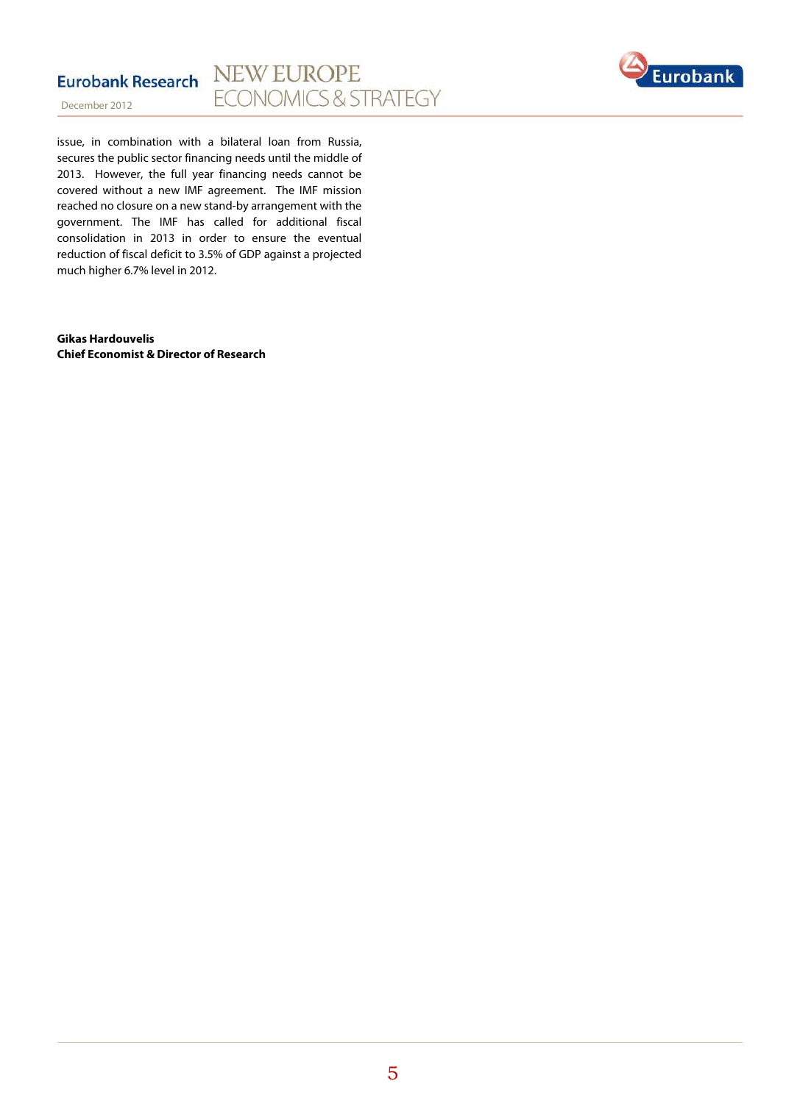



issue, in combination with a bilateral loan from Russia, secures the public sector financing needs until the middle of 2013. However, the full year financing needs cannot be covered without a new IMF agreement. The IMF mission reached no closure on a new stand-by arrangement with the government. The IMF has called for additional fiscal consolidation in 2013 in order to ensure the eventual reduction of fiscal deficit to 3.5% of GDP against a projected much higher 6.7% level in 2012.

**Gikas Hardouvelis Chief Economist & Director of Research**

5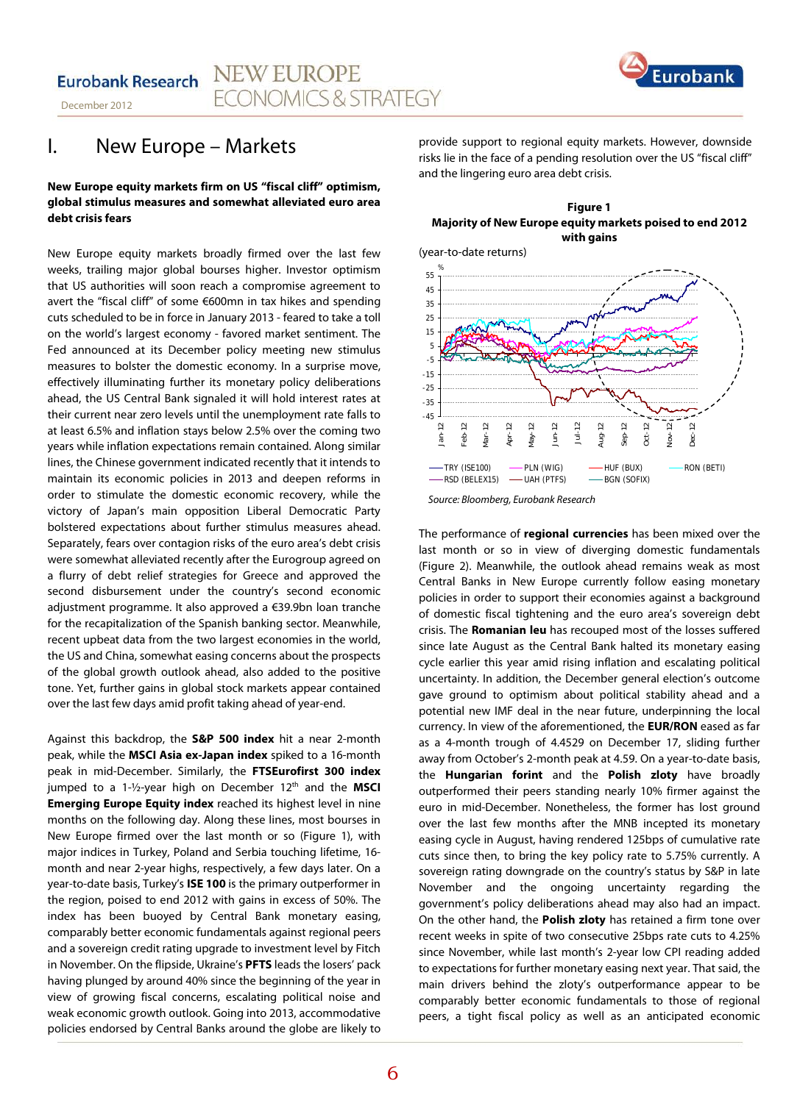**NEW EUROPE Eurobank Research ECONOMICS & STRATEGY** 





# I. New Europe – Markets

#### **New Europe equity markets firm on US "fiscal cliff" optimism, global stimulus measures and somewhat alleviated euro area debt crisis fears**

New Europe equity markets broadly firmed over the last few weeks, trailing major global bourses higher. Investor optimism that US authorities will soon reach a compromise agreement to avert the "fiscal cliff" of some €600mn in tax hikes and spending cuts scheduled to be in force in January 2013 - feared to take a toll on the world's largest economy - favored market sentiment. The Fed announced at its December policy meeting new stimulus measures to bolster the domestic economy. In a surprise move, effectively illuminating further its monetary policy deliberations ahead, the US Central Bank signaled it will hold interest rates at their current near zero levels until the unemployment rate falls to at least 6.5% and inflation stays below 2.5% over the coming two years while inflation expectations remain contained. Along similar lines, the Chinese government indicated recently that it intends to maintain its economic policies in 2013 and deepen reforms in order to stimulate the domestic economic recovery, while the victory of Japan's main opposition Liberal Democratic Party bolstered expectations about further stimulus measures ahead. Separately, fears over contagion risks of the euro area's debt crisis were somewhat alleviated recently after the Eurogroup agreed on a flurry of debt relief strategies for Greece and approved the second disbursement under the country's second economic adjustment programme. It also approved a €39.9bn loan tranche for the recapitalization of the Spanish banking sector. Meanwhile, recent upbeat data from the two largest economies in the world, the US and China, somewhat easing concerns about the prospects of the global growth outlook ahead, also added to the positive tone. Yet, further gains in global stock markets appear contained over the last few days amid profit taking ahead of year-end.

Against this backdrop, the **S&P 500 index** hit a near 2-month peak, while the **MSCI Asia ex-Japan index** spiked to a 16-month peak in mid-December. Similarly, the **FTSEurofirst 300 index** jumped to a 1-1/2-year high on December 12<sup>th</sup> and the **MSCI Emerging Europe Equity index** reached its highest level in nine months on the following day. Along these lines, most bourses in New Europe firmed over the last month or so (Figure 1), with major indices in Turkey, Poland and Serbia touching lifetime, 16 month and near 2-year highs, respectively, a few days later. On a year-to-date basis, Turkey's **ISE 100** is the primary outperformer in the region, poised to end 2012 with gains in excess of 50%. The index has been buoyed by Central Bank monetary easing, comparably better economic fundamentals against regional peers and a sovereign credit rating upgrade to investment level by Fitch in November. On the flipside, Ukraine's **PFTS** leads the losers' pack having plunged by around 40% since the beginning of the year in view of growing fiscal concerns, escalating political noise and weak economic growth outlook. Going into 2013, accommodative policies endorsed by Central Banks around the globe are likely to

provide support to regional equity markets. However, downside risks lie in the face of a pending resolution over the US "fiscal cliff" and the lingering euro area debt crisis.

#### **Figure 1 Majority of New Europe equity markets poised to end 2012 with gains**





The performance of **regional currencies** has been mixed over the last month or so in view of diverging domestic fundamentals (Figure 2). Meanwhile, the outlook ahead remains weak as most Central Banks in New Europe currently follow easing monetary policies in order to support their economies against a background of domestic fiscal tightening and the euro area's sovereign debt crisis. The **Romanian leu** has recouped most of the losses suffered since late August as the Central Bank halted its monetary easing cycle earlier this year amid rising inflation and escalating political uncertainty. In addition, the December general election's outcome gave ground to optimism about political stability ahead and a potential new IMF deal in the near future, underpinning the local currency. In view of the aforementioned, the **EUR/RON** eased as far as a 4-month trough of 4.4529 on December 17, sliding further away from October's 2-month peak at 4.59. On a year-to-date basis, the **Hungarian forint** and the **Polish zloty** have broadly outperformed their peers standing nearly 10% firmer against the euro in mid-December. Nonetheless, the former has lost ground over the last few months after the MNB incepted its monetary easing cycle in August, having rendered 125bps of cumulative rate cuts since then, to bring the key policy rate to 5.75% currently. A sovereign rating downgrade on the country's status by S&P in late November and the ongoing uncertainty regarding the government's policy deliberations ahead may also had an impact. On the other hand, the **Polish zloty** has retained a firm tone over recent weeks in spite of two consecutive 25bps rate cuts to 4.25% since November, while last month's 2-year low CPI reading added to expectations for further monetary easing next year. That said, the main drivers behind the zloty's outperformance appear to be comparably better economic fundamentals to those of regional peers, a tight fiscal policy as well as an anticipated economic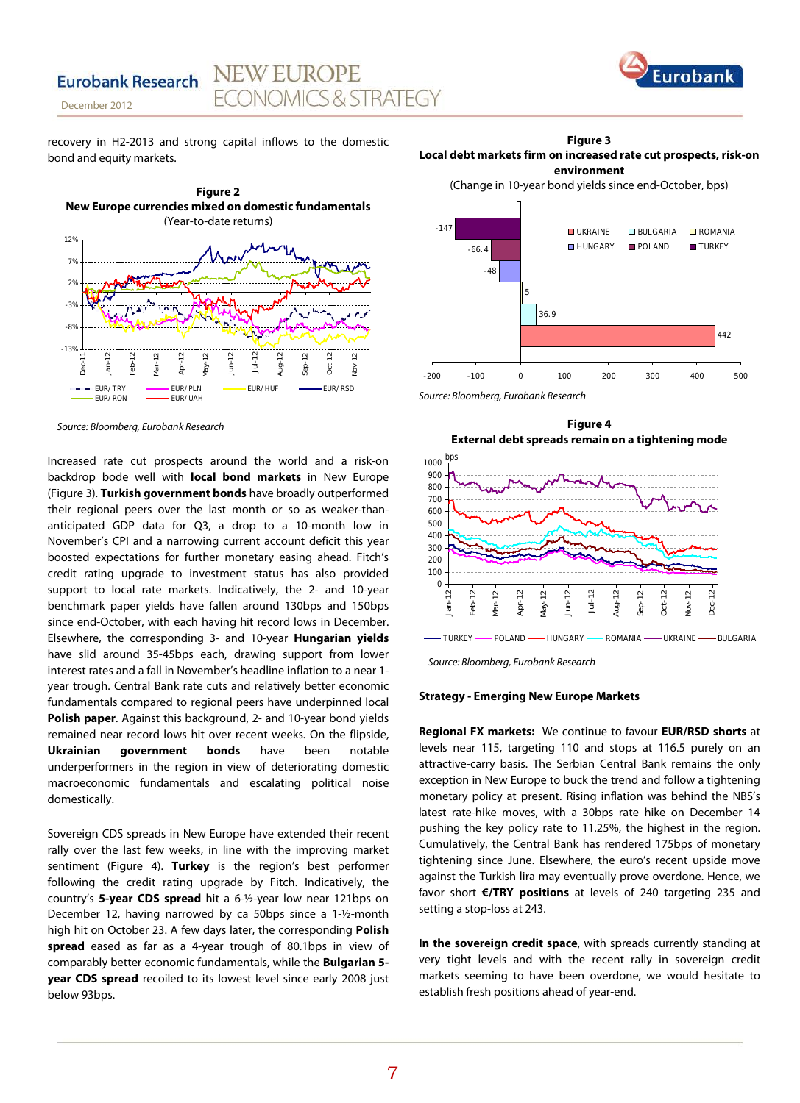

**Eurobank Research** 

recovery in H2-2013 and strong capital inflows to the domestic bond and equity markets.

**NEW EUROPE** 

**FCONOMICS & STRATEGY** 



*Source: Bloomberg, Eurobank Research*

Increased rate cut prospects around the world and a risk-on backdrop bode well with **local bond markets** in New Europe (Figure 3). **Turkish government bonds** have broadly outperformed their regional peers over the last month or so as weaker-thananticipated GDP data for Q3, a drop to a 10-month low in November's CPI and a narrowing current account deficit this year boosted expectations for further monetary easing ahead. Fitch's credit rating upgrade to investment status has also provided support to local rate markets. Indicatively, the 2- and 10-year benchmark paper yields have fallen around 130bps and 150bps since end-October, with each having hit record lows in December. Elsewhere, the corresponding 3- and 10-year **Hungarian yields** have slid around 35-45bps each, drawing support from lower interest rates and a fall in November's headline inflation to a near 1 year trough. Central Bank rate cuts and relatively better economic fundamentals compared to regional peers have underpinned local **Polish paper**. Against this background, 2- and 10-year bond yields remained near record lows hit over recent weeks. On the flipside, **Ukrainian government bonds** have been notable underperformers in the region in view of deteriorating domestic macroeconomic fundamentals and escalating political noise domestically.

Sovereign CDS spreads in New Europe have extended their recent rally over the last few weeks, in line with the improving market sentiment (Figure 4). **Turkey** is the region's best performer following the credit rating upgrade by Fitch. Indicatively, the country's **5-year CDS spread** hit a 6-½-year low near 121bps on December 12, having narrowed by ca 50bps since a 1-½-month high hit on October 23. A few days later, the corresponding **Polish spread** eased as far as a 4-year trough of 80.1bps in view of comparably better economic fundamentals, while the **Bulgarian 5 year CDS spread** recoiled to its lowest level since early 2008 just below 93bps.

**Figure 3 Local debt markets firm on increased rate cut prospects, risk-on environment**

(Change in 10-year bond yields since end-October, bps)



*Source: Bloomberg, Eurobank Research*





#### **Strategy - Emerging New Europe Markets**

**Regional FX markets:** We continue to favour **EUR/RSD shorts** at levels near 115, targeting 110 and stops at 116.5 purely on an attractive-carry basis. The Serbian Central Bank remains the only exception in New Europe to buck the trend and follow a tightening monetary policy at present. Rising inflation was behind the NBS's latest rate-hike moves, with a 30bps rate hike on December 14 pushing the key policy rate to 11.25%, the highest in the region. Cumulatively, the Central Bank has rendered 175bps of monetary tightening since June. Elsewhere, the euro's recent upside move against the Turkish lira may eventually prove overdone. Hence, we favor short **€/TRY positions** at levels of 240 targeting 235 and setting a stop-loss at 243.

**In the sovereign credit space**, with spreads currently standing at very tight levels and with the recent rally in sovereign credit markets seeming to have been overdone, we would hesitate to establish fresh positions ahead of year-end.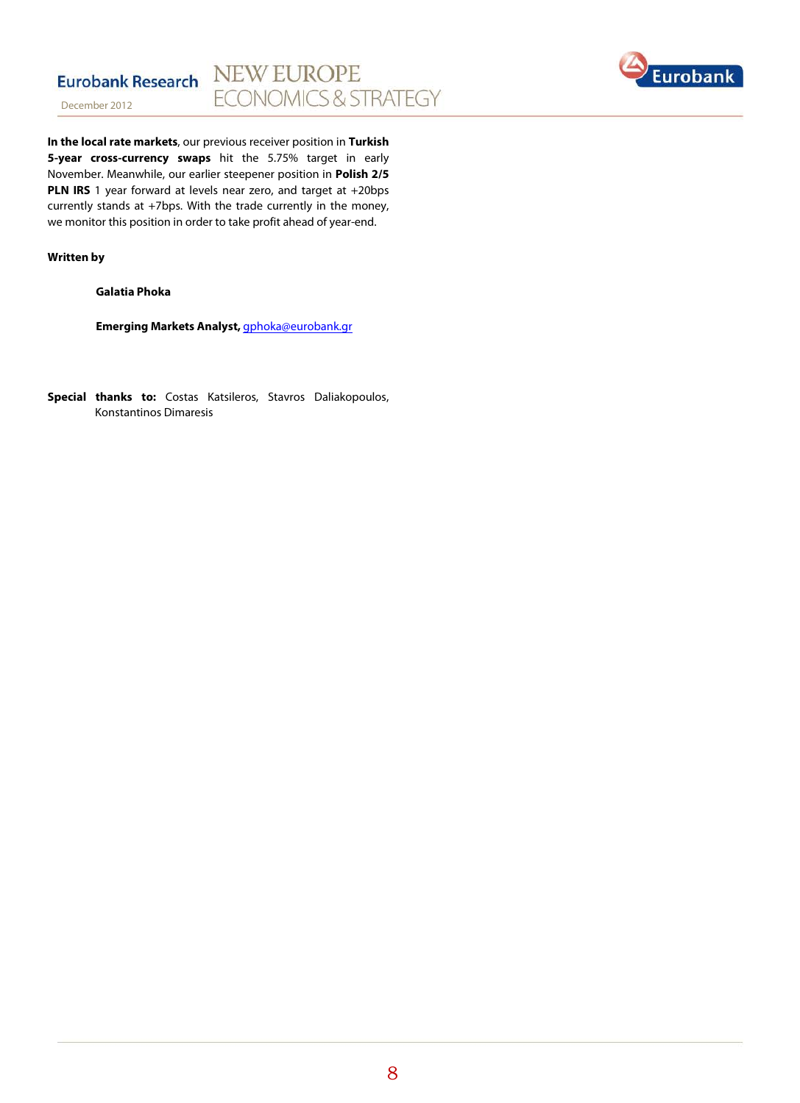



**In the local rate markets**, our previous receiver position in **Turkish 5-year cross-currency swaps** hit the 5.75% target in early November. Meanwhile, our earlier steepener position in **Polish 2/5 PLN IRS** 1 year forward at levels near zero, and target at +20bps currently stands at +7bps. With the trade currently in the money, we monitor this position in order to take profit ahead of year-end.

#### **Written by**

**Galatia Phoka**

**Emerging Markets Analyst,** [gphoka@eurobank.gr](mailto:gphoka@eurobank.gr)

**Special thanks to:** Costas Katsileros, Stavros Daliakopoulos, Konstantinos Dimaresis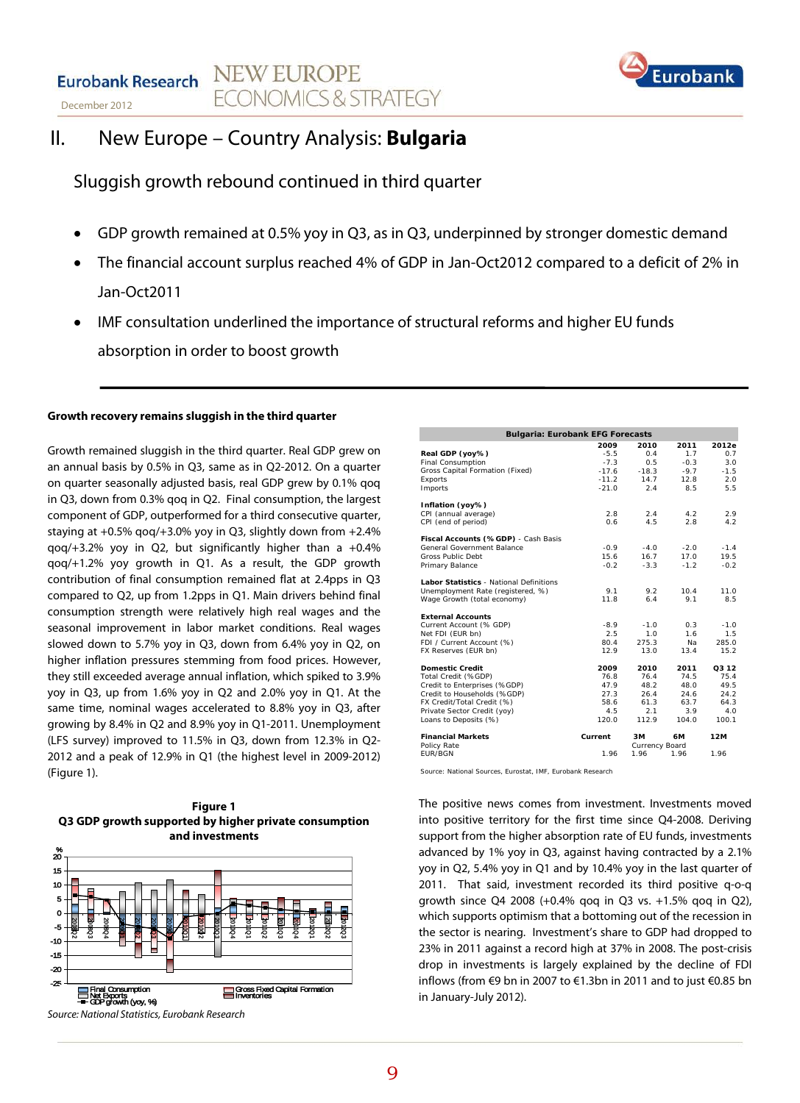#### **NEW EUROPE Eurobank Research ECONOMICS & STRATEGY** December 2012



# II. New Europe – Country Analysis: **Bulgaria**

## Sluggish growth rebound continued in third quarter

- GDP growth remained at 0.5% yoy in Q3, as in Q3, underpinned by stronger domestic demand
- The financial account surplus reached 4% of GDP in Jan-Oct2012 compared to a deficit of 2% in Jan-Oct2011
- IMF consultation underlined the importance of structural reforms and higher EU funds absorption in order to boost growth

#### **Growth recovery remains sluggish in the third quarter**

Growth remained sluggish in the third quarter. Real GDP grew on an annual basis by 0.5% in Q3, same as in Q2-2012. On a quarter on quarter seasonally adjusted basis, real GDP grew by 0.1% qoq in Q3, down from 0.3% qoq in Q2. Final consumption, the largest component of GDP, outperformed for a third consecutive quarter, staying at +0.5% qoq/+3.0% yoy in Q3, slightly down from +2.4%  $qoq/+3.2%$  yoy in Q2, but significantly higher than a  $+0.4%$ qoq/+1.2% yoy growth in Q1. As a result, the GDP growth contribution of final consumption remained flat at 2.4pps in Q3 compared to Q2, up from 1.2pps in Q1. Main drivers behind final consumption strength were relatively high real wages and the seasonal improvement in labor market conditions. Real wages slowed down to 5.7% yoy in Q3, down from 6.4% yoy in Q2, on higher inflation pressures stemming from food prices. However, they still exceeded average annual inflation, which spiked to 3.9% yoy in Q3, up from 1.6% yoy in Q2 and 2.0% yoy in Q1. At the same time, nominal wages accelerated to 8.8% yoy in Q3, after growing by 8.4% in Q2 and 8.9% yoy in Q1-2011. Unemployment (LFS survey) improved to 11.5% in Q3, down from 12.3% in Q2- 2012 and a peak of 12.9% in Q1 (the highest level in 2009-2012) (Figure 1).





*Source: National Statistics, Eurobank Research*

| <b>Bulgaria: Eurobank EFG Forecasts</b>        |         |                |        |        |  |  |  |  |
|------------------------------------------------|---------|----------------|--------|--------|--|--|--|--|
|                                                | 2009    | 2010           | 2011   | 2012e  |  |  |  |  |
| Real GDP (yoy%)                                | $-5.5$  | 0.4            | 1.7    | 0.7    |  |  |  |  |
| Final Consumption                              | $-7.3$  | 0.5            | $-0.3$ | 3.0    |  |  |  |  |
| Gross Capital Formation (Fixed)                | $-17.6$ | $-18.3$        | $-9.7$ | $-1.5$ |  |  |  |  |
| Exports                                        | $-11.2$ | 14.7           | 12.8   | 2.0    |  |  |  |  |
| Imports                                        | $-21.0$ | 2.4            | 8.5    | 5.5    |  |  |  |  |
| Inflation (yoy%)                               |         |                |        |        |  |  |  |  |
| CPI (annual average)                           | 2.8     | 2.4            | 4.2    | 2.9    |  |  |  |  |
| CPI (end of period)                            | 0.6     | 4.5            | 2.8    | 4.2    |  |  |  |  |
| Fiscal Accounts (%GDP) - Cash Basis            |         |                |        |        |  |  |  |  |
| General Government Balance                     | $-0.9$  | $-4.0$         | $-2.0$ | $-1.4$ |  |  |  |  |
| Gross Public Debt                              | 15.6    | 16.7           | 17.0   | 19.5   |  |  |  |  |
| Primary Balance                                | $-0.2$  | $-3.3$         | $-1.2$ | $-0.2$ |  |  |  |  |
| <b>Labor Statistics - National Definitions</b> |         |                |        |        |  |  |  |  |
| Unemployment Rate (registered, %)              | 9.1     | 9.2            | 10.4   | 11.0   |  |  |  |  |
| Wage Growth (total economy)                    | 11.8    | 6.4            | 9.1    | 8.5    |  |  |  |  |
| <b>External Accounts</b>                       |         |                |        |        |  |  |  |  |
| Current Account (% GDP)                        | $-8.9$  | $-1.0$         | 0.3    | $-1.0$ |  |  |  |  |
| Net FDI (EUR bn)                               | 2.5     | 1.0            | 1.6    | 1.5    |  |  |  |  |
| FDI / Current Account (%)                      | 80.4    | 275.3          | Na.    | 285.0  |  |  |  |  |
| FX Reserves (EUR bn)                           | 12.9    | 13.0           | 13.4   | 15.2   |  |  |  |  |
| <b>Domestic Credit</b>                         | 2009    | 2010           | 2011   | 03 12  |  |  |  |  |
| Total Credit (%GDP)                            | 76.8    | 76.4           | 74.5   | 75.4   |  |  |  |  |
| Credit to Enterprises (%GDP)                   | 47.9    | 48.2           | 48.0   | 49.5   |  |  |  |  |
| Credit to Households (%GDP)                    | 27.3    | 26.4           | 24.6   | 24.2   |  |  |  |  |
| FX Credit/Total Credit (%)                     | 58.6    | 61.3           | 63.7   | 64.3   |  |  |  |  |
| Private Sector Credit (yoy)                    | 4.5     | 2.1            | 3.9    | 4.0    |  |  |  |  |
| Loans to Deposits (%)                          | 120.0   | 112.9          | 104.0  | 100.1  |  |  |  |  |
| <b>Financial Markets</b>                       | Current | ЗM             | 6M     | 12M    |  |  |  |  |
| Policy Rate                                    |         | Currency Board |        |        |  |  |  |  |
| <b>FUR/BGN</b>                                 | 1.96    | 1.96           | 1.96   | 1.96   |  |  |  |  |

Source: National Sources, Eurostat, IMF, Eurobank Research

The positive news comes from investment. Investments moved into positive territory for the first time since Q4-2008. Deriving support from the higher absorption rate of EU funds, investments advanced by 1% yoy in Q3, against having contracted by a 2.1% yoy in Q2, 5.4% yoy in Q1 and by 10.4% yoy in the last quarter of 2011. That said, investment recorded its third positive q-o-q growth since Q4 2008 (+0.4% qoq in Q3 vs. +1.5% qoq in Q2), which supports optimism that a bottoming out of the recession in the sector is nearing. Investment's share to GDP had dropped to 23% in 2011 against a record high at 37% in 2008. The post-crisis drop in investments is largely explained by the decline of FDI inflows (from €9 bn in 2007 to €1.3bn in 2011 and to just €0.85 bn in January-July 2012).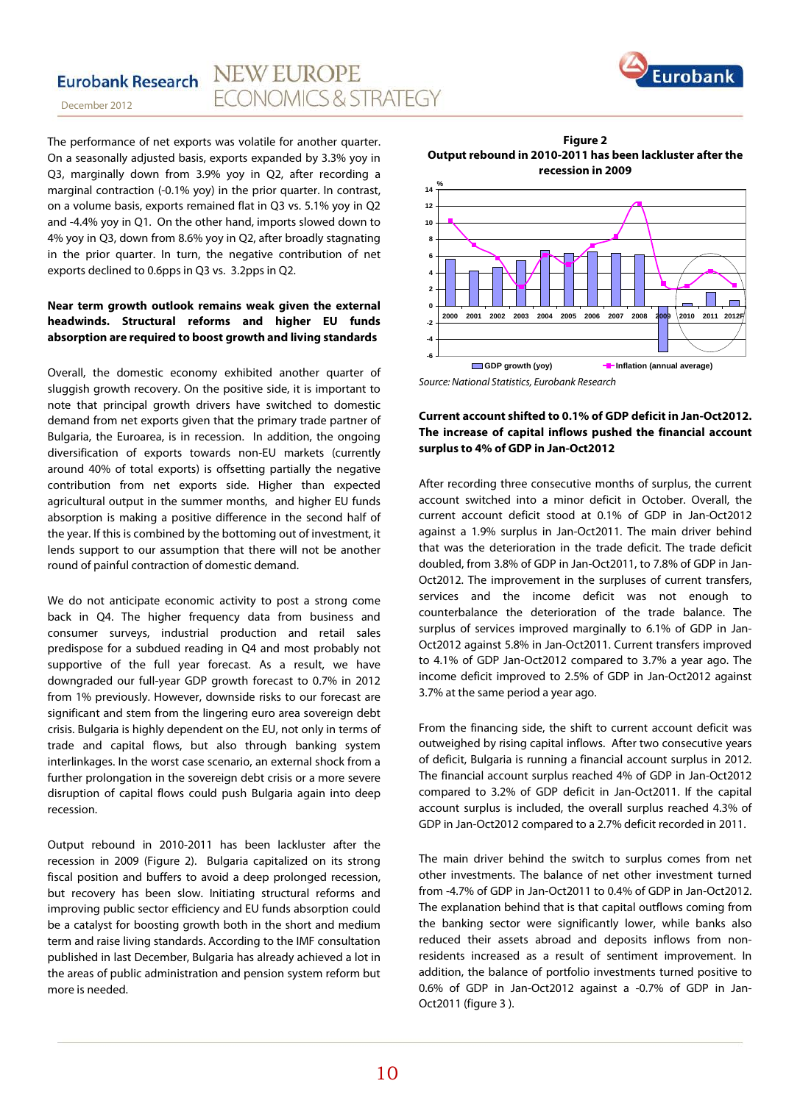

The performance of net exports was volatile for another quarter. On a seasonally adjusted basis, exports expanded by 3.3% yoy in Q3, marginally down from 3.9% yoy in Q2, after recording a marginal contraction (-0.1% yoy) in the prior quarter. In contrast, on a volume basis, exports remained flat in Q3 vs. 5.1% yoy in Q2 and -4.4% yoy in Q1. On the other hand, imports slowed down to 4% yoy in Q3, down from 8.6% yoy in Q2, after broadly stagnating in the prior quarter. In turn, the negative contribution of net exports declined to 0.6pps in Q3 vs. 3.2pps in Q2.

#### **Near term growth outlook remains weak given the external headwinds. Structural reforms and higher EU funds absorption are required to boost growth and living standards**

Overall, the domestic economy exhibited another quarter of sluggish growth recovery. On the positive side, it is important to note that principal growth drivers have switched to domestic demand from net exports given that the primary trade partner of Bulgaria, the Euroarea, is in recession. In addition, the ongoing diversification of exports towards non-EU markets (currently around 40% of total exports) is offsetting partially the negative contribution from net exports side. Higher than expected agricultural output in the summer months, and higher EU funds absorption is making a positive difference in the second half of the year. If this is combined by the bottoming out of investment, it lends support to our assumption that there will not be another round of painful contraction of domestic demand.

We do not anticipate economic activity to post a strong come back in Q4. The higher frequency data from business and consumer surveys, industrial production and retail sales predispose for a subdued reading in Q4 and most probably not supportive of the full year forecast. As a result, we have downgraded our full-year GDP growth forecast to 0.7% in 2012 from 1% previously. However, downside risks to our forecast are significant and stem from the lingering euro area sovereign debt crisis. Bulgaria is highly dependent on the EU, not only in terms of trade and capital flows, but also through banking system interlinkages. In the worst case scenario, an external shock from a further prolongation in the sovereign debt crisis or a more severe disruption of capital flows could push Bulgaria again into deep recession.

Output rebound in 2010-2011 has been lackluster after the recession in 2009 (Figure 2). Bulgaria capitalized on its strong fiscal position and buffers to avoid a deep prolonged recession, but recovery has been slow. Initiating structural reforms and improving public sector efficiency and EU funds absorption could be a catalyst for boosting growth both in the short and medium term and raise living standards. According to the IMF consultation published in last December, Bulgaria has already achieved a lot in the areas of public administration and pension system reform but more is needed.

**Figure 2 Output rebound in 2010-2011 has been lackluster after the recession in 2009**



*Source: National Statistics, Eurobank Research*

#### **Current account shifted to 0.1% of GDP deficit in Jan-Oct2012. The increase of capital inflows pushed the financial account surplus to 4% of GDP in Jan-Oct2012**

After recording three consecutive months of surplus, the current account switched into a minor deficit in October. Overall, the current account deficit stood at 0.1% of GDP in Jan-Oct2012 against a 1.9% surplus in Jan-Oct2011. The main driver behind that was the deterioration in the trade deficit. The trade deficit doubled, from 3.8% of GDP in Jan-Oct2011, to 7.8% of GDP in Jan-Oct2012. The improvement in the surpluses of current transfers, services and the income deficit was not enough to counterbalance the deterioration of the trade balance. The surplus of services improved marginally to 6.1% of GDP in Jan-Oct2012 against 5.8% in Jan-Oct2011. Current transfers improved to 4.1% of GDP Jan-Oct2012 compared to 3.7% a year ago. The income deficit improved to 2.5% of GDP in Jan-Oct2012 against 3.7% at the same period a year ago.

From the financing side, the shift to current account deficit was outweighed by rising capital inflows. After two consecutive years of deficit, Bulgaria is running a financial account surplus in 2012. The financial account surplus reached 4% of GDP in Jan-Oct2012 compared to 3.2% of GDP deficit in Jan-Oct2011. If the capital account surplus is included, the overall surplus reached 4.3% of GDP in Jan-Oct2012 compared to a 2.7% deficit recorded in 2011.

The main driver behind the switch to surplus comes from net other investments. The balance of net other investment turned from -4.7% of GDP in Jan-Oct2011 to 0.4% of GDP in Jan-Oct2012. The explanation behind that is that capital outflows coming from the banking sector were significantly lower, while banks also reduced their assets abroad and deposits inflows from nonresidents increased as a result of sentiment improvement. In addition, the balance of portfolio investments turned positive to 0.6% of GDP in Jan-Oct2012 against a -0.7% of GDP in Jan-Oct2011 (figure 3 ).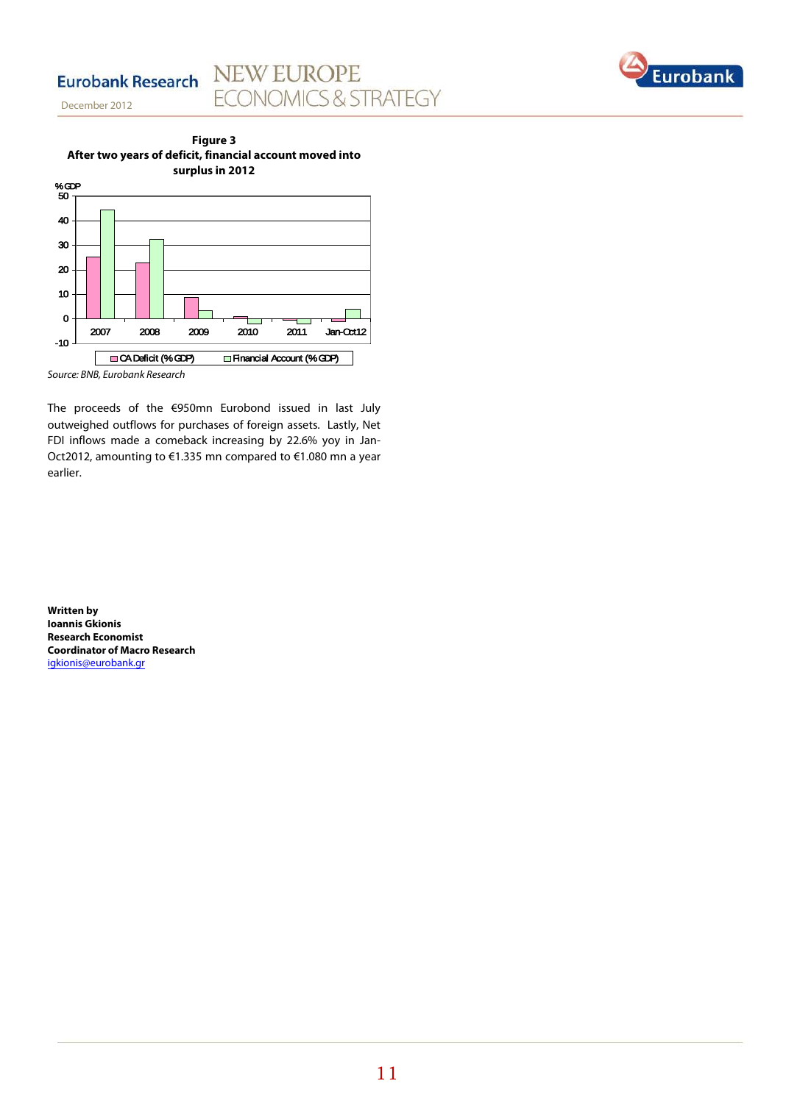#### **NEW EUROPE** Eurobank Research **ECONOMICS & STRATEGY**









The proceeds of the €950mn Eurobond issued in last July outweighed outflows for purchases of foreign assets. Lastly, Net FDI inflows made a comeback increasing by 22.6% yoy in Jan-Oct2012, amounting to €1.335 mn compared to €1.080 mn a year earlier.

**Written by Ioannis Gkionis Research Economist Coordinator of Macro Research** [igkionis@eurobank.gr](mailto:igkionis@eurobank.gr)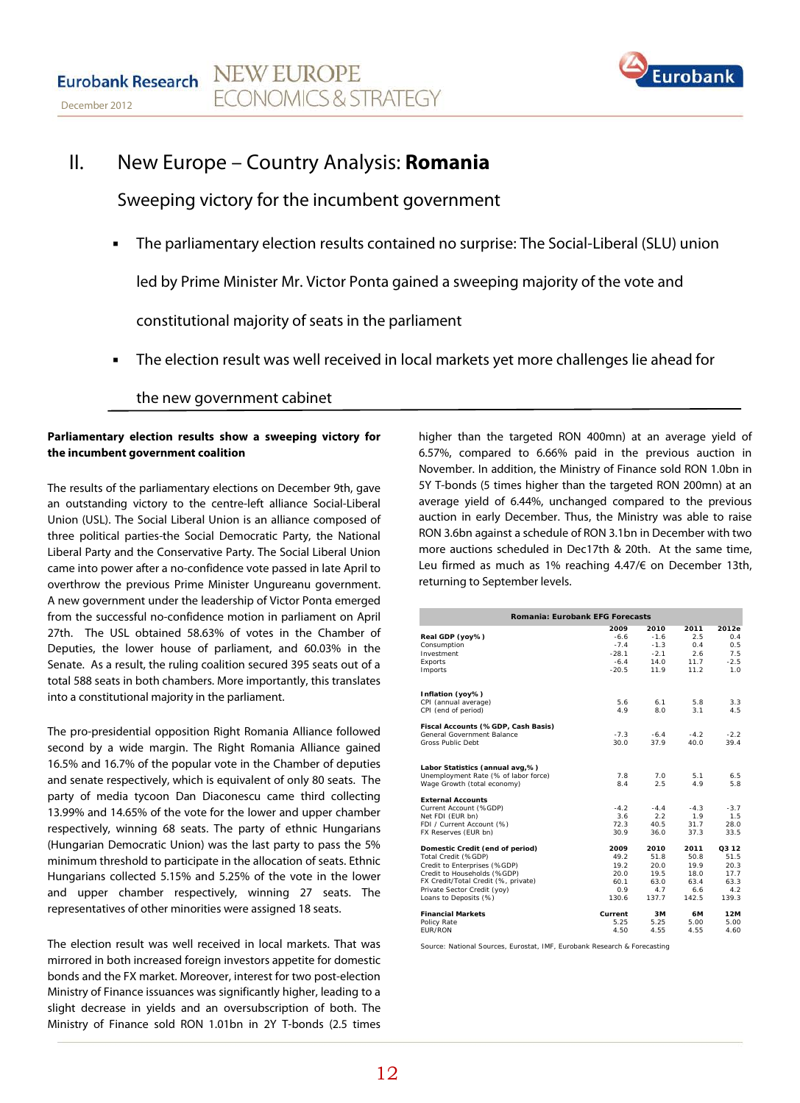

# II. New Europe – Country Analysis: **Romania**

Sweeping victory for the incumbent government

The parliamentary election results contained no surprise: The Social-Liberal (SLU) union

led by Prime Minister Mr. Victor Ponta gained a sweeping majority of the vote and

constitutional majority of seats in the parliament

The election result was well received in local markets yet more challenges lie ahead for

### the new government cabinet

#### **Parliamentary election results show a sweeping victory for the incumbent government coalition**

 The results of the parliamentary elections on December 9th, gave an outstanding victory to the centre-left alliance Social-Liberal Union (USL). The Social Liberal Union is an alliance composed of three political parties-the Social Democratic Party, the National Liberal Party and the Conservative Party. The Social Liberal Union came into power after a no-confidence vote passed in late April to overthrow the previous Prime Minister Ungureanu government. A new government under the leadership of Victor Ponta emerged from the successful no-confidence motion in parliament on April 27th. The USL obtained 58.63% of votes in the Chamber of Deputies, the lower house of parliament, and 60.03% in the Senate. As a result, the ruling coalition secured 395 seats out of a total 588 seats in both chambers. More importantly, this translates into a constitutional majority in the parliament.

The pro-presidential opposition Right Romania Alliance followed second by a wide margin. The Right Romania Alliance gained 16.5% and 16.7% of the popular vote in the Chamber of deputies and senate respectively, which is equivalent of only 80 seats. The party of media tycoon Dan Diaconescu came third collecting 13.99% and 14.65% of the vote for the lower and upper chamber respectively, winning 68 seats. The party of ethnic Hungarians (Hungarian Democratic Union) was the last party to pass the 5% minimum threshold to participate in the allocation of seats. Ethnic Hungarians collected 5.15% and 5.25% of the vote in the lower and upper chamber respectively, winning 27 seats. The representatives of other minorities were assigned 18 seats.

The election result was well received in local markets. That was mirrored in both increased foreign investors appetite for domestic bonds and the FX market. Moreover, interest for two post-election Ministry of Finance issuances was significantly higher, leading to a slight decrease in yields and an oversubscription of both. The Ministry of Finance sold RON 1.01bn in 2Y T-bonds (2.5 times

higher than the targeted RON 400mn) at an average yield of 6.57%, compared to 6.66% paid in the previous auction in November. In addition, the Ministry of Finance sold RON 1.0bn in 5Y T-bonds (5 times higher than the targeted RON 200mn) at an average yield of 6.44%, unchanged compared to the previous auction in early December. Thus, the Ministry was able to raise RON 3.6bn against a schedule of RON 3.1bn in December with two more auctions scheduled in Dec17th & 20th. At the same time, Leu firmed as much as 1% reaching 4.47/€ on December 13th, returning to September levels.

| <b>Romania: Eurobank EFG Forecasts</b> |                   |                  |              |              |  |  |  |  |  |
|----------------------------------------|-------------------|------------------|--------------|--------------|--|--|--|--|--|
|                                        | 2009              | 2010             | 2011         | 2012e        |  |  |  |  |  |
| Real GDP (yoy%)                        | $-6.6$            | $-1.6$           | 2.5          | 0.4          |  |  |  |  |  |
| Consumption<br>Investment              | $-7.4$<br>$-28.1$ | $-1.3$<br>$-2.1$ | 0.4<br>2.6   | 0.5<br>7.5   |  |  |  |  |  |
| Exports                                | $-6.4$            | 14.0             | 11.7         | $-2.5$       |  |  |  |  |  |
| Imports                                | $-20.5$           | 11.9             | 11.2         | 1.0          |  |  |  |  |  |
|                                        |                   |                  |              |              |  |  |  |  |  |
| Inflation (yoy%)                       |                   |                  |              |              |  |  |  |  |  |
| CPI (annual average)                   | 5.6               | 6.1              | 5.8          | 3.3          |  |  |  |  |  |
| CPI (end of period)                    | 4.9               | 8.0              | 3.1          | 4.5          |  |  |  |  |  |
| Fiscal Accounts (%GDP, Cash Basis)     |                   |                  |              |              |  |  |  |  |  |
| General Government Balance             | $-7.3$            | $-6.4$           | $-4.2$       | $-2.2$       |  |  |  |  |  |
| <b>Gross Public Debt</b>               | 30.0              | 37.9             | 40.0         | 39.4         |  |  |  |  |  |
| Labor Statistics (annual avg,%)        |                   |                  |              |              |  |  |  |  |  |
| Unemployment Rate (% of labor force)   | 7.8               | 7.0              | 5.1          | 6.5          |  |  |  |  |  |
| Wage Growth (total economy)            | 8.4               | 2.5              | 4.9          | 5.8          |  |  |  |  |  |
| <b>External Accounts</b>               |                   |                  |              |              |  |  |  |  |  |
| Current Account (%GDP)                 | $-4.2$            | $-4.4$           | $-4.3$       | $-3.7$       |  |  |  |  |  |
| Net FDI (EUR bn)                       | 3.6               | 2.2              | 1.9          | 1.5          |  |  |  |  |  |
| FDI / Current Account (%)              | 72.3              | 40.5             | 31.7         | 28.0         |  |  |  |  |  |
| FX Reserves (EUR bn)                   | 30.9              | 36.0             | 37.3         | 33.5         |  |  |  |  |  |
| Domestic Credit (end of period)        | 2009              | 2010             | 2011         | 03 12        |  |  |  |  |  |
| Total Credit (%GDP)                    | 49.2              | 51.8             | 50.8         | 51.5         |  |  |  |  |  |
| Credit to Enterprises (%GDP)           | 19.2              | 20.0             | 19.9         | 20.3         |  |  |  |  |  |
| Credit to Households (%GDP)            | 20.0              | 19.5             | 18.0         | 17.7         |  |  |  |  |  |
| FX Credit/Total Credit (%, private)    | 60.1              | 63.0             | 63.4         | 63.3         |  |  |  |  |  |
| Private Sector Credit (yoy)            | 0.9<br>130.6      | 4.7<br>137.7     | 6.6<br>142.5 | 4.2<br>139.3 |  |  |  |  |  |
| Loans to Deposits (%)                  |                   |                  |              |              |  |  |  |  |  |
| <b>Financial Markets</b>               | Current           | 3M               | 6M           | 12M          |  |  |  |  |  |
| Policy Rate                            | 5.25              | 5.25             | 5.00         | 5.00         |  |  |  |  |  |
| EUR/RON                                | 4.50              | 4.55             | 4.55         | 4.60         |  |  |  |  |  |

Source: National Sources, Eurostat, IMF, Eurobank Research & Forecasting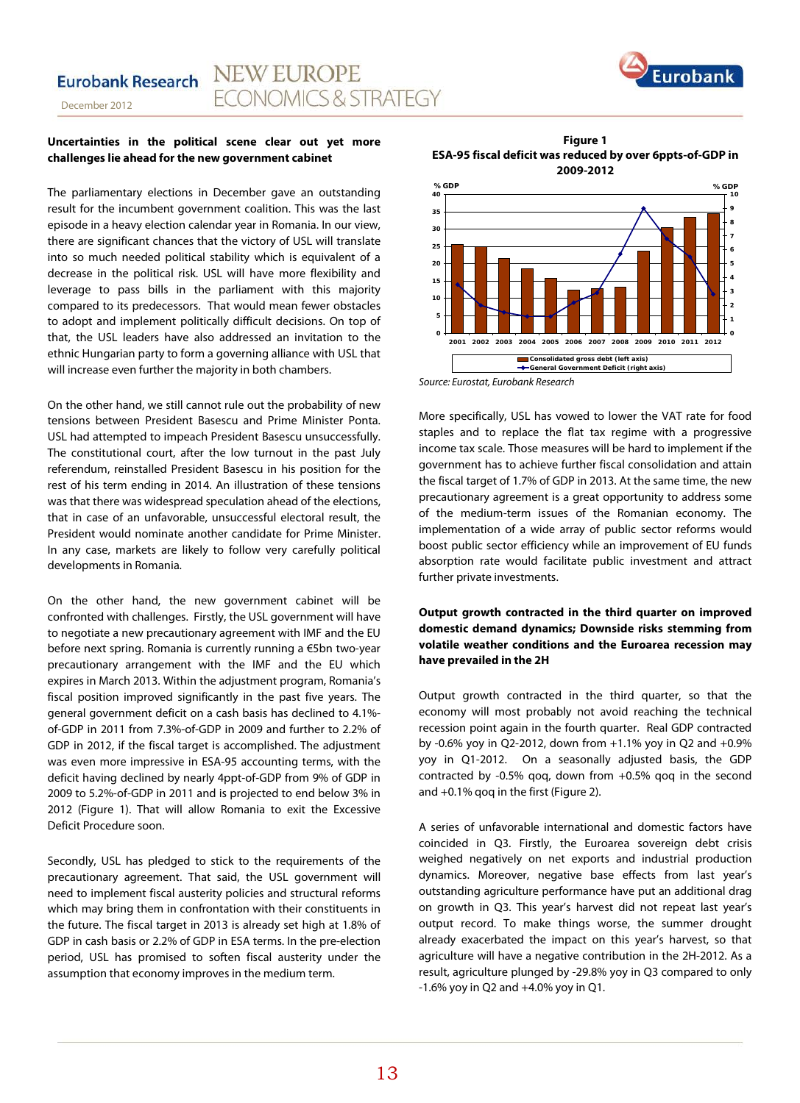

#### **Uncertainties in the political scene clear out yet more challenges lie ahead for the new government cabinet**

The parliamentary elections in December gave an outstanding result for the incumbent government coalition. This was the last episode in a heavy election calendar year in Romania. In our view, there are significant chances that the victory of USL will translate into so much needed political stability which is equivalent of a decrease in the political risk. USL will have more flexibility and leverage to pass bills in the parliament with this majority compared to its predecessors. That would mean fewer obstacles to adopt and implement politically difficult decisions. On top of that, the USL leaders have also addressed an invitation to the ethnic Hungarian party to form a governing alliance with USL that will increase even further the majority in both chambers.

On the other hand, we still cannot rule out the probability of new tensions between President Basescu and Prime Minister Ponta. USL had attempted to impeach President Basescu unsuccessfully. The constitutional court, after the low turnout in the past July referendum, reinstalled President Basescu in his position for the rest of his term ending in 2014. An illustration of these tensions was that there was widespread speculation ahead of the elections, that in case of an unfavorable, unsuccessful electoral result, the President would nominate another candidate for Prime Minister. In any case, markets are likely to follow very carefully political developments in Romania.

On the other hand, the new government cabinet will be confronted with challenges. Firstly, the USL government will have to negotiate a new precautionary agreement with IMF and the EU before next spring. Romania is currently running a €5bn two-year precautionary arrangement with the IMF and the EU which expires in March 2013. Within the adjustment program, Romania's fiscal position improved significantly in the past five years. The general government deficit on a cash basis has declined to 4.1% of-GDP in 2011 from 7.3%-of-GDP in 2009 and further to 2.2% of GDP in 2012, if the fiscal target is accomplished. The adjustment was even more impressive in ESA-95 accounting terms, with the deficit having declined by nearly 4ppt-of-GDP from 9% of GDP in 2009 to 5.2%-of-GDP in 2011 and is projected to end below 3% in 2012 (Figure 1). That will allow Romania to exit the Excessive Deficit Procedure soon.

Secondly, USL has pledged to stick to the requirements of the precautionary agreement. That said, the USL government will need to implement fiscal austerity policies and structural reforms which may bring them in confrontation with their constituents in the future. The fiscal target in 2013 is already set high at 1.8% of GDP in cash basis or 2.2% of GDP in ESA terms. In the pre-election period, USL has promised to soften fiscal austerity under the assumption that economy improves in the medium term.

**Figure 1 ESA-95 fiscal deficit was reduced by over 6ppts-of-GDP in 2009-2012**



*Source: Eurostat, Eurobank Research*

More specifically, USL has vowed to lower the VAT rate for food staples and to replace the flat tax regime with a progressive income tax scale. Those measures will be hard to implement if the government has to achieve further fiscal consolidation and attain the fiscal target of 1.7% of GDP in 2013. At the same time, the new precautionary agreement is a great opportunity to address some of the medium-term issues of the Romanian economy. The implementation of a wide array of public sector reforms would boost public sector efficiency while an improvement of EU funds absorption rate would facilitate public investment and attract further private investments.

#### **Output growth contracted in the third quarter on improved domestic demand dynamics; Downside risks stemming from volatile weather conditions and the Euroarea recession may have prevailed in the 2H**

Output growth contracted in the third quarter, so that the economy will most probably not avoid reaching the technical recession point again in the fourth quarter. Real GDP contracted by -0.6% yoy in Q2-2012, down from +1.1% yoy in Q2 and +0.9% yoy in Q1-2012. On a seasonally adjusted basis, the GDP contracted by -0.5% qoq, down from +0.5% qoq in the second and +0.1% qoq in the first (Figure 2).

A series of unfavorable international and domestic factors have coincided in Q3. Firstly, the Euroarea sovereign debt crisis weighed negatively on net exports and industrial production dynamics. Moreover, negative base effects from last year's outstanding agriculture performance have put an additional drag on growth in Q3. This year's harvest did not repeat last year's output record. To make things worse, the summer drought already exacerbated the impact on this year's harvest, so that agriculture will have a negative contribution in the 2H-2012. As a result, agriculture plunged by -29.8% yoy in Q3 compared to only -1.6% yoy in Q2 and +4.0% yoy in Q1.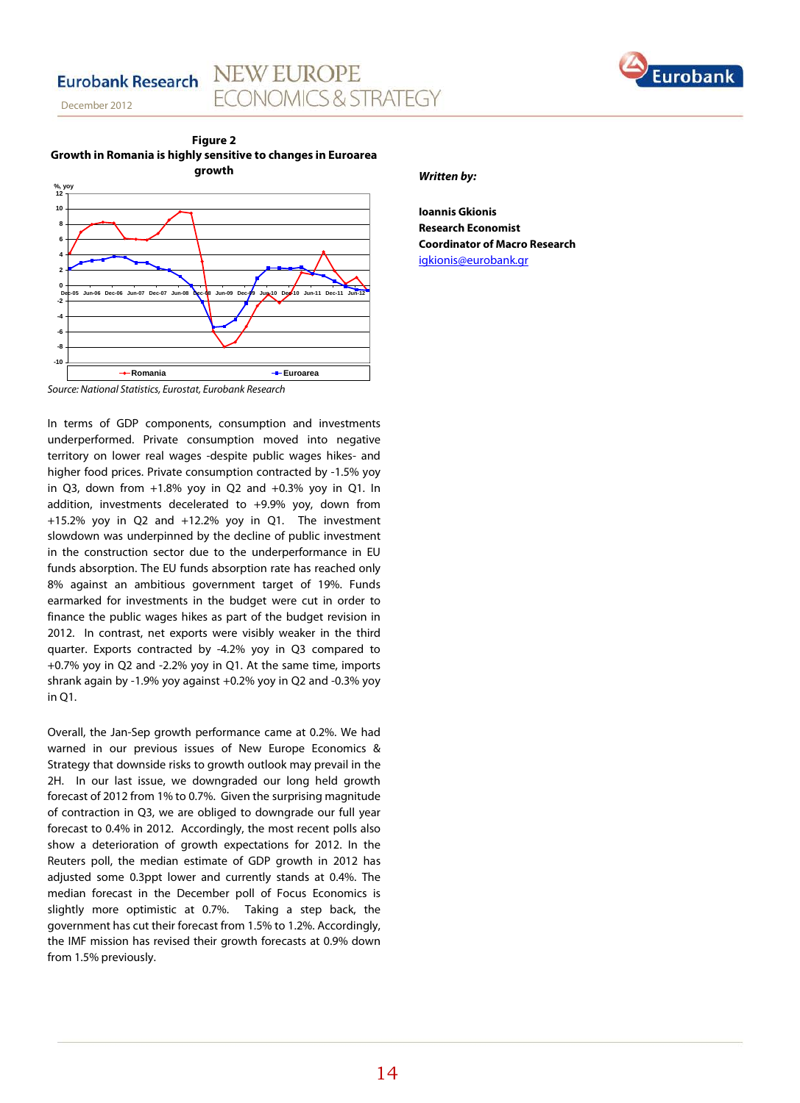## **Eurobank Research**

December 2012



**NEW EUROPE** 

**FCONOMICS & STRATEGY** 



#### *Source: National Statistics, Eurostat, Eurobank Research*

In terms of GDP components, consumption and investments underperformed. Private consumption moved into negative territory on lower real wages -despite public wages hikes- and higher food prices. Private consumption contracted by -1.5% yoy in O3, down from  $+1.8\%$  yoy in O2 and  $+0.3\%$  yoy in O1. In addition, investments decelerated to +9.9% yoy, down from +15.2% yoy in Q2 and +12.2% yoy in Q1. The investment slowdown was underpinned by the decline of public investment in the construction sector due to the underperformance in EU funds absorption. The EU funds absorption rate has reached only 8% against an ambitious government target of 19%. Funds earmarked for investments in the budget were cut in order to finance the public wages hikes as part of the budget revision in 2012. In contrast, net exports were visibly weaker in the third quarter. Exports contracted by -4.2% yoy in Q3 compared to +0.7% yoy in Q2 and -2.2% yoy in Q1. At the same time, imports shrank again by -1.9% yoy against +0.2% yoy in Q2 and -0.3% yoy in  $O1$ 

Overall, the Jan-Sep growth performance came at 0.2%. We had warned in our previous issues of New Europe Economics & Strategy that downside risks to growth outlook may prevail in the 2H. In our last issue, we downgraded our long held growth forecast of 2012 from 1% to 0.7%. Given the surprising magnitude of contraction in Q3, we are obliged to downgrade our full year forecast to 0.4% in 2012. Accordingly, the most recent polls also show a deterioration of growth expectations for 2012. In the Reuters poll, the median estimate of GDP growth in 2012 has adjusted some 0.3ppt lower and currently stands at 0.4%. The median forecast in the December poll of Focus Economics is slightly more optimistic at 0.7%. Taking a step back, the government has cut their forecast from 1.5% to 1.2%. Accordingly, the IMF mission has revised their growth forecasts at 0.9% down from 1.5% previously.

#### *Written by:*

**Ioannis Gkionis Research Economist Coordinator of Macro Research** [igkionis@eurobank.gr](mailto:igkionis@eurobank.gr)

Euroban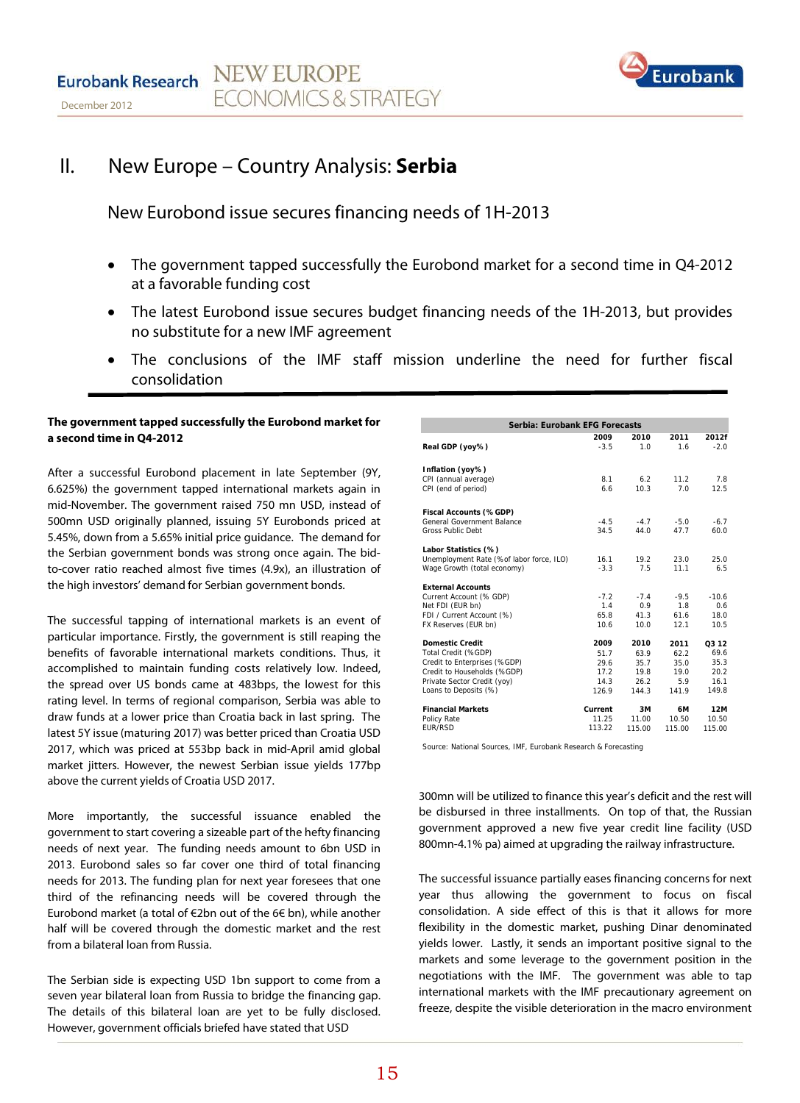

# II. New Europe – Country Analysis: **Serbia**

New Eurobond issue secures financing needs of 1H-2013

- The government tapped successfully the Eurobond market for a second time in Q4-2012 at a favorable funding cost
- The latest Eurobond issue secures budget financing needs of the 1H-2013, but provides no substitute for a new IMF agreement
- The conclusions of the IMF staff mission underline the need for further fiscal consolidation

#### **The government tapped successfully the Eurobond market for a second time in Q4-2012**

After a successful Eurobond placement in late September (9Y, 6.625%) the government tapped international markets again in mid-November. The government raised 750 mn USD, instead of 500mn USD originally planned, issuing 5Y Eurobonds priced at 5.45%, down from a 5.65% initial price guidance. The demand for the Serbian government bonds was strong once again. The bidto-cover ratio reached almost five times (4.9x), an illustration of the high investors' demand for Serbian government bonds.

The successful tapping of international markets is an event of particular importance. Firstly, the government is still reaping the benefits of favorable international markets conditions. Thus, it accomplished to maintain funding costs relatively low. Indeed, the spread over US bonds came at 483bps, the lowest for this rating level. In terms of regional comparison, Serbia was able to draw funds at a lower price than Croatia back in last spring. The latest 5Y issue (maturing 2017) was better priced than Croatia USD 2017, which was priced at 553bp back in mid-April amid global market jitters. However, the newest Serbian issue yields 177bp above the current yields of Croatia USD 2017.

More importantly, the successful issuance enabled the government to start covering a sizeable part of the hefty financing needs of next year. The funding needs amount to 6bn USD in 2013. Eurobond sales so far cover one third of total financing needs for 2013. The funding plan for next year foresees that one third of the refinancing needs will be covered through the Eurobond market (a total of €2bn out of the 6€ bn), while another half will be covered through the domestic market and the rest from a bilateral loan from Russia.

The Serbian side is expecting USD 1bn support to come from a seven year bilateral loan from Russia to bridge the financing gap. The details of this bilateral loan are yet to be fully disclosed. However, government officials briefed have stated that USD

| Serbia: Eurobank EFG Forecasts           |         |        |        |         |  |  |  |  |
|------------------------------------------|---------|--------|--------|---------|--|--|--|--|
|                                          | 2009    | 2010   | 2011   | 2012f   |  |  |  |  |
| Real GDP (yoy%)                          | $-3.5$  | 1.0    | 1.6    | $-2.0$  |  |  |  |  |
| Inflation (yoy%)                         |         |        |        |         |  |  |  |  |
| CPI (annual average)                     | 8.1     | 6.2    | 11.2   | 7.8     |  |  |  |  |
| CPI (end of period)                      | 6.6     | 10.3   | 7.0    | 12.5    |  |  |  |  |
| Fiscal Accounts (%GDP)                   |         |        |        |         |  |  |  |  |
| General Government Balance               | $-4.5$  | $-4.7$ | $-5.0$ | $-6.7$  |  |  |  |  |
| <b>Gross Public Debt</b>                 | 34.5    | 44.0   | 47.7   | 60.0    |  |  |  |  |
| Labor Statistics (%)                     |         |        |        |         |  |  |  |  |
| Unemployment Rate (%of labor force, ILO) | 16.1    | 19.2   | 23.0   | 25.0    |  |  |  |  |
| Wage Growth (total economy)              | $-3.3$  | 7.5    | 11.1   | 6.5     |  |  |  |  |
| <b>External Accounts</b>                 |         |        |        |         |  |  |  |  |
| Current Account (% GDP)                  | $-7.2$  | $-7.4$ | $-9.5$ | $-10.6$ |  |  |  |  |
| Net FDI (EUR bn)                         | 1.4     | 0.9    | 1.8    | 0.6     |  |  |  |  |
| FDI / Current Account (%)                | 65.8    | 41.3   | 61.6   | 18.0    |  |  |  |  |
| FX Reserves (EUR bn)                     | 10.6    | 10.0   | 12.1   | 10.5    |  |  |  |  |
| <b>Domestic Credit</b>                   | 2009    | 2010   | 2011   | Q3 12   |  |  |  |  |
| Total Credit (%GDP)                      | 51.7    | 63.9   | 62.2   | 69.6    |  |  |  |  |
| Credit to Enterprises (%GDP)             | 29.6    | 35.7   | 35.0   | 35.3    |  |  |  |  |
| Credit to Households (%GDP)              | 17.2    | 19.8   | 19.0   | 20.2    |  |  |  |  |
| Private Sector Credit (yoy)              | 14.3    | 26.2   | 5.9    | 16.1    |  |  |  |  |
| Loans to Deposits (%)                    | 126.9   | 144.3  | 141.9  | 149.8   |  |  |  |  |
| <b>Financial Markets</b>                 | Current | 3M     | 6M     | 12M     |  |  |  |  |
| Policy Rate                              | 11.25   | 11.00  | 10.50  | 10.50   |  |  |  |  |
| <b>FUR/RSD</b>                           | 113.22  | 115.00 | 115.00 | 115.00  |  |  |  |  |

Source: National Sources, IMF, Eurobank Research & Forecasting

300mn will be utilized to finance this year's deficit and the rest will be disbursed in three installments. On top of that, the Russian government approved a new five year credit line facility (USD 800mn-4.1% pa) aimed at upgrading the railway infrastructure.

The successful issuance partially eases financing concerns for next year thus allowing the government to focus on fiscal consolidation. A side effect of this is that it allows for more flexibility in the domestic market, pushing Dinar denominated yields lower. Lastly, it sends an important positive signal to the markets and some leverage to the government position in the negotiations with the IMF. The government was able to tap international markets with the IMF precautionary agreement on freeze, despite the visible deterioration in the macro environment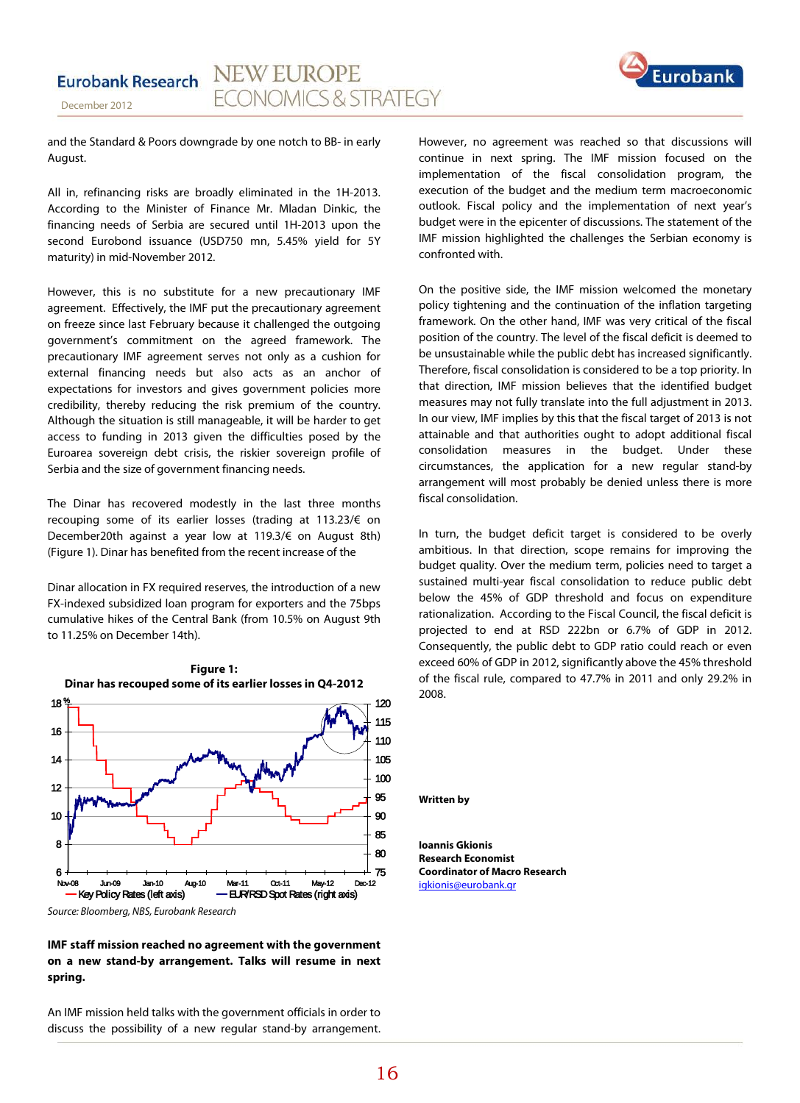

and the Standard & Poors downgrade by one notch to BB- in early August.

December 2012

All in, refinancing risks are broadly eliminated in the 1H-2013. According to the Minister of Finance Mr. Mladan Dinkic, the financing needs of Serbia are secured until 1H-2013 upon the second Eurobond issuance (USD750 mn, 5.45% yield for 5Y maturity) in mid-November 2012.

However, this is no substitute for a new precautionary IMF agreement. Effectively, the IMF put the precautionary agreement on freeze since last February because it challenged the outgoing government's commitment on the agreed framework. The precautionary IMF agreement serves not only as a cushion for external financing needs but also acts as an anchor of expectations for investors and gives government policies more credibility, thereby reducing the risk premium of the country. Although the situation is still manageable, it will be harder to get access to funding in 2013 given the difficulties posed by the Euroarea sovereign debt crisis, the riskier sovereign profile of Serbia and the size of government financing needs.

The Dinar has recovered modestly in the last three months recouping some of its earlier losses (trading at 113.23/€ on December20th against a year low at 119.3/€ on August 8th) (Figure 1). Dinar has benefited from the recent increase of the

Dinar allocation in FX required reserves, the introduction of a new FX-indexed subsidized loan program for exporters and the 75bps cumulative hikes of the Central Bank (from 10.5% on August 9th to 11.25% on December 14th).



*Source: Bloomberg, NBS, Eurobank Research*

#### **IMF staff mission reached no agreement with the government on a new stand-by arrangement. Talks will resume in next spring.**

An IMF mission held talks with the government officials in order to discuss the possibility of a new regular stand-by arrangement. However, no agreement was reached so that discussions will continue in next spring. The IMF mission focused on the implementation of the fiscal consolidation program, the execution of the budget and the medium term macroeconomic outlook. Fiscal policy and the implementation of next year's budget were in the epicenter of discussions. The statement of the IMF mission highlighted the challenges the Serbian economy is confronted with.

On the positive side, the IMF mission welcomed the monetary policy tightening and the continuation of the inflation targeting framework. On the other hand, IMF was very critical of the fiscal position of the country. The level of the fiscal deficit is deemed to be unsustainable while the public debt has increased significantly. Therefore, fiscal consolidation is considered to be a top priority. In that direction, IMF mission believes that the identified budget measures may not fully translate into the full adjustment in 2013. In our view, IMF implies by this that the fiscal target of 2013 is not attainable and that authorities ought to adopt additional fiscal consolidation measures in the budget. Under these circumstances, the application for a new regular stand-by arrangement will most probably be denied unless there is more fiscal consolidation.

In turn, the budget deficit target is considered to be overly ambitious. In that direction, scope remains for improving the budget quality. Over the medium term, policies need to target a sustained multi-year fiscal consolidation to reduce public debt below the 45% of GDP threshold and focus on expenditure rationalization. According to the Fiscal Council, the fiscal deficit is projected to end at RSD 222bn or 6.7% of GDP in 2012. Consequently, the public debt to GDP ratio could reach or even exceed 60% of GDP in 2012, significantly above the 45% threshold of the fiscal rule, compared to 47.7% in 2011 and only 29.2% in 2008.

#### **Written by**

**Ioannis Gkionis Research Economist Coordinator of Macro Research** [igkionis@eurobank.gr](mailto:igkionis@eurobank.gr)